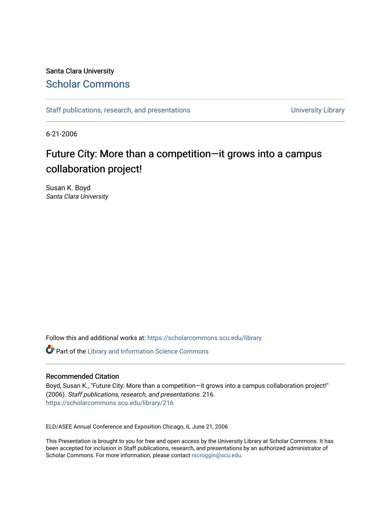#### Santa Clara University [Scholar Commons](https://scholarcommons.scu.edu/)

[Staff publications, research, and presentations](https://scholarcommons.scu.edu/library) and the state of the University Library

6-21-2006

#### Future City: More than a competition—it grows into a campus collaboration project!

Susan K. Boyd Santa Clara University

Follow this and additional works at: [https://scholarcommons.scu.edu/library](https://scholarcommons.scu.edu/library?utm_source=scholarcommons.scu.edu%2Flibrary%2F216&utm_medium=PDF&utm_campaign=PDFCoverPages) 

**C** Part of the Library and Information Science Commons

#### Recommended Citation

Boyd, Susan K., "Future City: More than a competition—it grows into a campus collaboration project!" (2006). Staff publications, research, and presentations. 216. [https://scholarcommons.scu.edu/library/216](https://scholarcommons.scu.edu/library/216?utm_source=scholarcommons.scu.edu%2Flibrary%2F216&utm_medium=PDF&utm_campaign=PDFCoverPages) 

ELD/ASEE Annual Conference and Exposition Chicago, IL June 21, 2006

This Presentation is brought to you for free and open access by the University Library at Scholar Commons. It has been accepted for inclusion in Staff publications, research, and presentations by an authorized administrator of Scholar Commons. For more information, please contact [rscroggin@scu.edu.](mailto:rscroggin@scu.edu)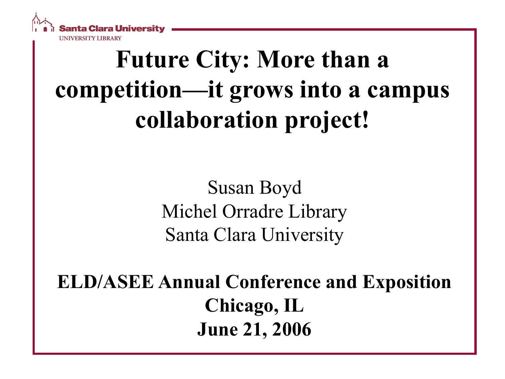

# **Future City: More than a competition—it grows into a campus collaboration project!**

Susan Boyd Michel Orradre Library Santa Clara University

**ELD/ASEE Annual Conference and Exposition Chicago, IL June 21, 2006**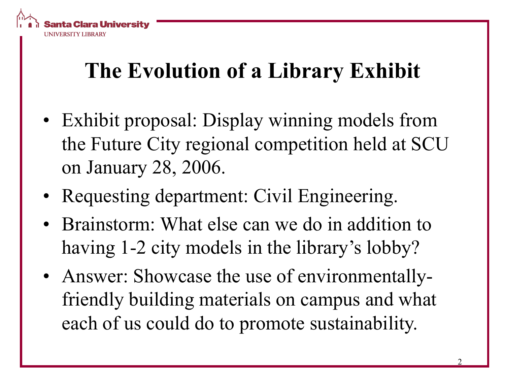

### **The Evolution of a Library Exhibit**

- Exhibit proposal: Display winning models from the Future City regional competition held at SCU on January 28, 2006.
- Requesting department: Civil Engineering.
- Brainstorm: What else can we do in addition to having 1-2 city models in the library's lobby?
- Answer: Showcase the use of environmentallyfriendly building materials on campus and what each of us could do to promote sustainability.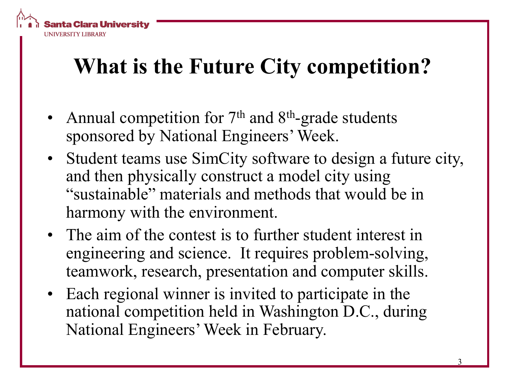

#### **What is the Future City competition?**

- Annual competition for  $7<sup>th</sup>$  and  $8<sup>th</sup>$ -grade students sponsored by National Engineers' Week.
- Student teams use SimCity software to design a future city, and then physically construct a model city using "sustainable" materials and methods that would be in harmony with the environment.
- The aim of the contest is to further student interest in engineering and science. It requires problem-solving, teamwork, research, presentation and computer skills.
- Each regional winner is invited to participate in the national competition held in Washington D.C., during National Engineers' Week in February.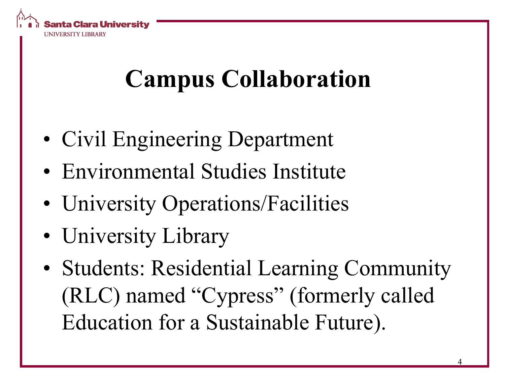

# **Campus Collaboration**

- Civil Engineering Department
- Environmental Studies Institute
- University Operations/Facilities
- University Library
- Students: Residential Learning Community (RLC) named "Cypress" (formerly called Education for a Sustainable Future).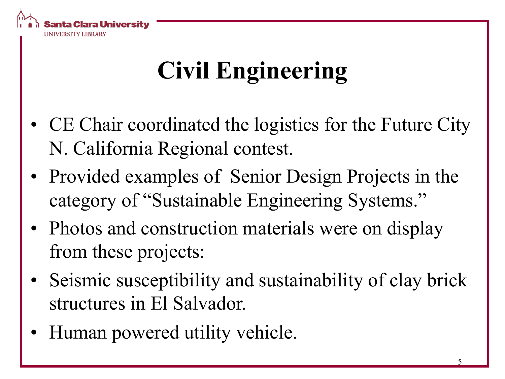

# **Civil Engineering**

- CE Chair coordinated the logistics for the Future City N. California Regional contest.
- Provided examples of Senior Design Projects in the category of "Sustainable Engineering Systems."
- Photos and construction materials were on display from these projects:
- Seismic susceptibility and sustainability of clay brick structures in El Salvador.
- Human powered utility vehicle.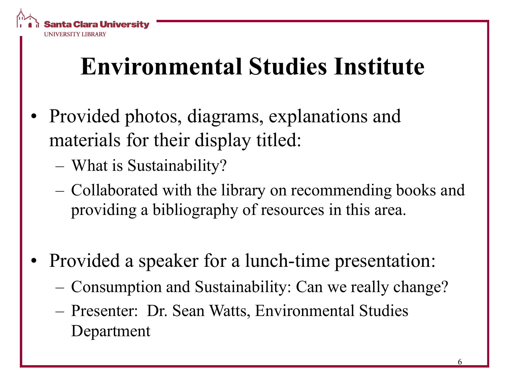

## **Environmental Studies Institute**

- Provided photos, diagrams, explanations and materials for their display titled:
	- What is Sustainability?
	- Collaborated with the library on recommending books and providing a bibliography of resources in this area.
- Provided a speaker for a lunch-time presentation:
	- Consumption and Sustainability: Can we really change?
	- Presenter: Dr. Sean Watts, Environmental Studies Department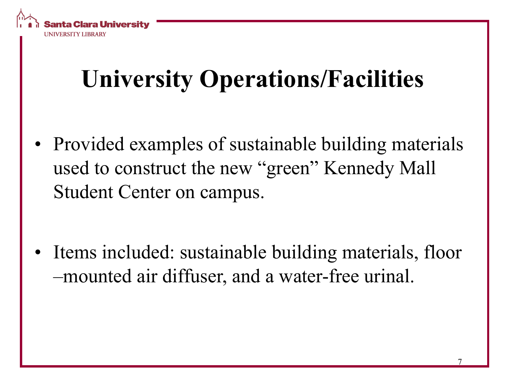

# **University Operations/Facilities**

• Provided examples of sustainable building materials used to construct the new "green" Kennedy Mall Student Center on campus.

Items included: sustainable building materials, floor –mounted air diffuser, and a water-free urinal.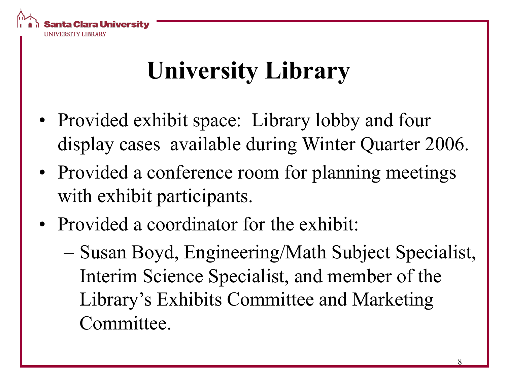

# **University Library**

- Provided exhibit space: Library lobby and four display cases available during Winter Quarter 2006.
- Provided a conference room for planning meetings with exhibit participants.
- Provided a coordinator for the exhibit:
	- Susan Boyd, Engineering/Math Subject Specialist, Interim Science Specialist, and member of the Library's Exhibits Committee and Marketing Committee.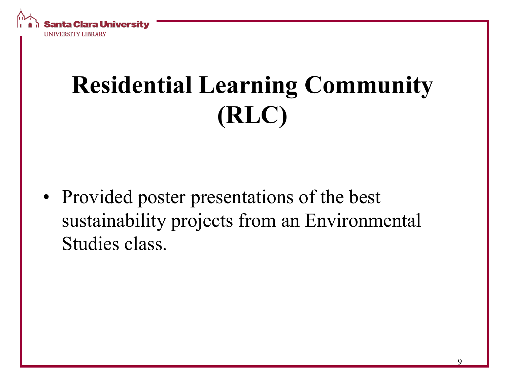

# **Residential Learning Community (RLC)**

• Provided poster presentations of the best sustainability projects from an Environmental Studies class.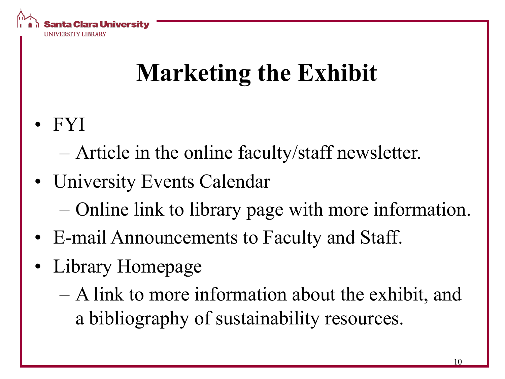

# **Marketing the Exhibit**

• FYI

– Article in the online faculty/staff newsletter.

- University Events Calendar
	- Online link to library page with more information.
- E-mail Announcements to Faculty and Staff.
- Library Homepage
	- A link to more information about the exhibit, and a bibliography of sustainability resources.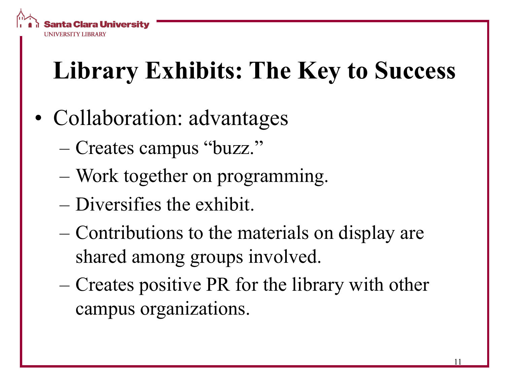

# **Library Exhibits: The Key to Success**

- Collaboration: advantages
	- Creates campus "buzz."
	- Work together on programming.
	- Diversifies the exhibit.
	- Contributions to the materials on display are shared among groups involved.
	- Creates positive PR for the library with other campus organizations.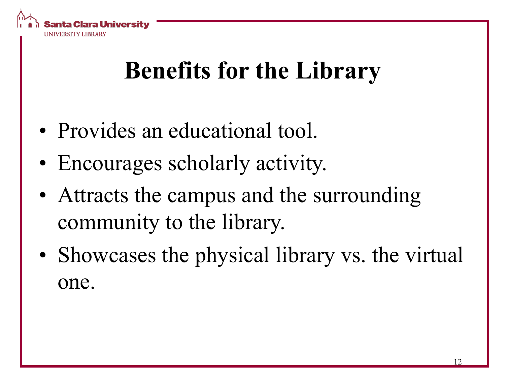

## **Benefits for the Library**

- Provides an educational tool.
- Encourages scholarly activity.
- Attracts the campus and the surrounding community to the library.
- Showcases the physical library vs. the virtual one.